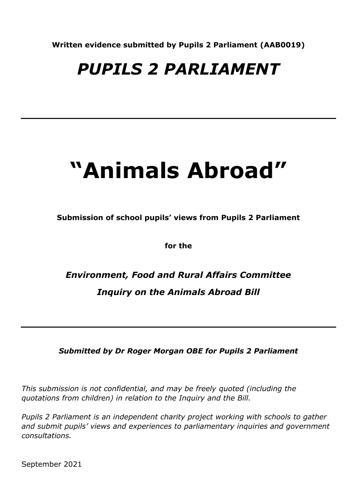**Written evidence submitted by Pupils 2 Parliament (AAB0019)**

# *PUPILS 2 PARLIAMENT*

# **"Animals Abroad"**

**Submission of school pupils' views from Pupils 2 Parliament**

**for the**

*Environment, Food and Rural Affairs Committee Inquiry on the Animals Abroad Bill*

*Submitted by Dr Roger Morgan OBE for Pupils 2 Parliament*

*This submission is not confidential, and may be freely quoted (including the quotations from children) in relation to the Inquiry and the Bill.*

*Pupils 2 Parliament is an independent charity project working with schools to gather and submit pupils' views and experiences to parliamentary inquiries and government consultations.*

September 2021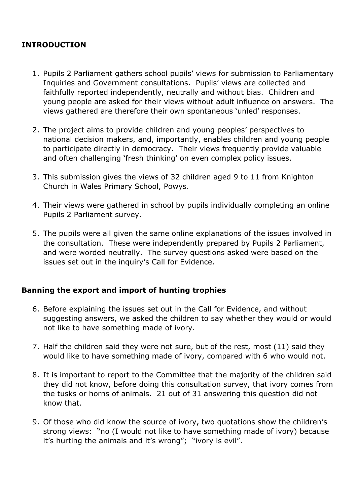# **INTRODUCTION**

- 1. Pupils 2 Parliament gathers school pupils' views for submission to Parliamentary Inquiries and Government consultations. Pupils' views are collected and faithfully reported independently, neutrally and without bias. Children and young people are asked for their views without adult influence on answers. The views gathered are therefore their own spontaneous 'unled' responses.
- 2. The project aims to provide children and young peoples' perspectives to national decision makers, and, importantly, enables children and young people to participate directly in democracy. Their views frequently provide valuable and often challenging 'fresh thinking' on even complex policy issues.
- 3. This submission gives the views of 32 children aged 9 to 11 from Knighton Church in Wales Primary School, Powys.
- 4. Their views were gathered in school by pupils individually completing an online Pupils 2 Parliament survey.
- 5. The pupils were all given the same online explanations of the issues involved in the consultation. These were independently prepared by Pupils 2 Parliament, and were worded neutrally. The survey questions asked were based on the issues set out in the inquiry's Call for Evidence.

# **Banning the export and import of hunting trophies**

- 6. Before explaining the issues set out in the Call for Evidence, and without suggesting answers, we asked the children to say whether they would or would not like to have something made of ivory.
- 7. Half the children said they were not sure, but of the rest, most (11) said they would like to have something made of ivory, compared with 6 who would not.
- 8. It is important to report to the Committee that the majority of the children said they did not know, before doing this consultation survey, that ivory comes from the tusks or horns of animals. 21 out of 31 answering this question did not know that.
- 9. Of those who did know the source of ivory, two quotations show the children's strong views: "no (I would not like to have something made of ivory) because it's hurting the animals and it's wrong"; "ivory is evil".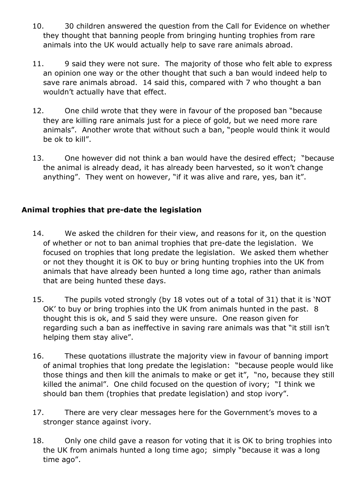- 10. 30 children answered the question from the Call for Evidence on whether they thought that banning people from bringing hunting trophies from rare animals into the UK would actually help to save rare animals abroad.
- 11. 9 said they were not sure. The majority of those who felt able to express an opinion one way or the other thought that such a ban would indeed help to save rare animals abroad. 14 said this, compared with 7 who thought a ban wouldn't actually have that effect.
- 12. One child wrote that they were in favour of the proposed ban "because they are killing rare animals just for a piece of gold, but we need more rare animals". Another wrote that without such a ban, "people would think it would be ok to kill".
- 13. One however did not think a ban would have the desired effect; "because the animal is already dead, it has already been harvested, so it won't change anything". They went on however, "if it was alive and rare, yes, ban it".

# **Animal trophies that pre-date the legislation**

- 14. We asked the children for their view, and reasons for it, on the question of whether or not to ban animal trophies that pre-date the legislation. We focused on trophies that long predate the legislation. We asked them whether or not they thought it is OK to buy or bring hunting trophies into the UK from animals that have already been hunted a long time ago, rather than animals that are being hunted these days.
- 15. The pupils voted strongly (by 18 votes out of a total of 31) that it is 'NOT OK' to buy or bring trophies into the UK from animals hunted in the past. 8 thought this is ok, and 5 said they were unsure. One reason given for regarding such a ban as ineffective in saving rare animals was that "it still isn't helping them stay alive".
- 16. These quotations illustrate the majority view in favour of banning import of animal trophies that long predate the legislation: "because people would like those things and then kill the animals to make or get it", "no, because they still killed the animal". One child focused on the question of ivory; "I think we should ban them (trophies that predate legislation) and stop ivory".
- 17. There are very clear messages here for the Government's moves to a stronger stance against ivory.
- 18. Only one child gave a reason for voting that it is OK to bring trophies into the UK from animals hunted a long time ago; simply "because it was a long time ago".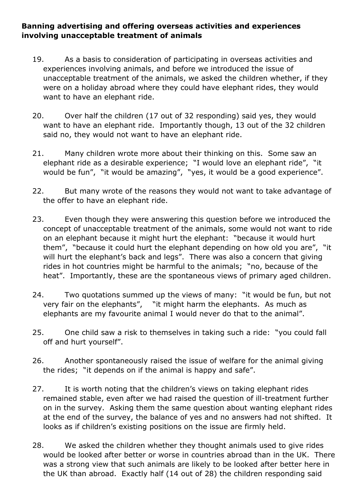# **Banning advertising and offering overseas activities and experiences involving unacceptable treatment of animals**

- 19. As a basis to consideration of participating in overseas activities and experiences involving animals, and before we introduced the issue of unacceptable treatment of the animals, we asked the children whether, if they were on a holiday abroad where they could have elephant rides, they would want to have an elephant ride.
- 20. Over half the children (17 out of 32 responding) said yes, they would want to have an elephant ride. Importantly though, 13 out of the 32 children said no, they would not want to have an elephant ride.
- 21. Many children wrote more about their thinking on this. Some saw an elephant ride as a desirable experience; "I would love an elephant ride", "it would be fun", "it would be amazing", "yes, it would be a good experience".
- 22. But many wrote of the reasons they would not want to take advantage of the offer to have an elephant ride.
- 23. Even though they were answering this question before we introduced the concept of unacceptable treatment of the animals, some would not want to ride on an elephant because it might hurt the elephant: "because it would hurt them", "because it could hurt the elephant depending on how old you are", "it will hurt the elephant's back and legs". There was also a concern that giving rides in hot countries might be harmful to the animals; "no, because of the heat". Importantly, these are the spontaneous views of primary aged children.
- 24. Two quotations summed up the views of many: "it would be fun, but not very fair on the elephants", "it might harm the elephants. As much as elephants are my favourite animal I would never do that to the animal".
- 25. One child saw a risk to themselves in taking such a ride: "you could fall off and hurt yourself".
- 26. Another spontaneously raised the issue of welfare for the animal giving the rides; "it depends on if the animal is happy and safe".
- 27. It is worth noting that the children's views on taking elephant rides remained stable, even after we had raised the question of ill-treatment further on in the survey. Asking them the same question about wanting elephant rides at the end of the survey, the balance of yes and no answers had not shifted. It looks as if children's existing positions on the issue are firmly held.
- 28. We asked the children whether they thought animals used to give rides would be looked after better or worse in countries abroad than in the UK. There was a strong view that such animals are likely to be looked after better here in the UK than abroad. Exactly half (14 out of 28) the children responding said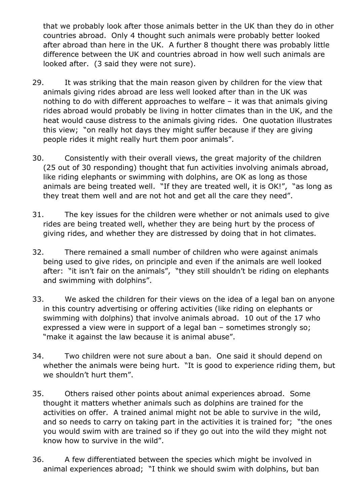that we probably look after those animals better in the UK than they do in other countries abroad. Only 4 thought such animals were probably better looked after abroad than here in the UK. A further 8 thought there was probably little difference between the UK and countries abroad in how well such animals are looked after. (3 said they were not sure).

- 29. It was striking that the main reason given by children for the view that animals giving rides abroad are less well looked after than in the UK was nothing to do with different approaches to welfare – it was that animals giving rides abroad would probably be living in hotter climates than in the UK, and the heat would cause distress to the animals giving rides. One quotation illustrates this view; "on really hot days they might suffer because if they are giving people rides it might really hurt them poor animals".
- 30. Consistently with their overall views, the great majority of the children (25 out of 30 responding) thought that fun activities involving animals abroad, like riding elephants or swimming with dolphins, are OK as long as those animals are being treated well. "If they are treated well, it is OK!", "as long as they treat them well and are not hot and get all the care they need".
- 31. The key issues for the children were whether or not animals used to give rides are being treated well, whether they are being hurt by the process of giving rides, and whether they are distressed by doing that in hot climates.
- 32. There remained a small number of children who were against animals being used to give rides, on principle and even if the animals are well looked after: "it isn't fair on the animals", "they still shouldn't be riding on elephants and swimming with dolphins".
- 33. We asked the children for their views on the idea of a legal ban on anyone in this country advertising or offering activities (like riding on elephants or swimming with dolphins) that involve animals abroad. 10 out of the 17 who expressed a view were in support of a legal ban – sometimes strongly so; "make it against the law because it is animal abuse".
- 34. Two children were not sure about a ban. One said it should depend on whether the animals were being hurt. "It is good to experience riding them, but we shouldn't hurt them".
- 35. Others raised other points about animal experiences abroad. Some thought it matters whether animals such as dolphins are trained for the activities on offer. A trained animal might not be able to survive in the wild, and so needs to carry on taking part in the activities it is trained for; "the ones you would swim with are trained so if they go out into the wild they might not know how to survive in the wild".
- 36. A few differentiated between the species which might be involved in animal experiences abroad; "I think we should swim with dolphins, but ban